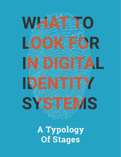

**A Typology Of Stages**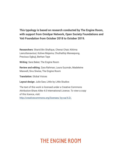#### **This typology is based on research conducted by The Engine Room, with support from Omidyar Network, Open Society Foundations and Yoti Foundation from October 2018 to October 2019.**

**Researchers**: Sharid Bin Shafique, Chenai Chair, Kittima Leeruttanawisut, Koliwe Majama, Chuthathip Maneepong, Precious Ogbuji, Berhan Taye

**Writing**: Sara Baker, The Engine Room

**Review and editing**: Zara Rahman, Laura Guzmán, Madeleine Maxwell, Sivu Siwisa, The Engine Room

**Translation**: Global Voices

**Layout design**: Julie Saw, Little by Little Studios

The text of this work is licensed under a Creative Commons Attribution-Share Alike 4.0 International Licence. To view a copy of this licence, visit: http://creativecommons.org/licenses/ by-sa/4.0/.

### THE ENGINE ROOM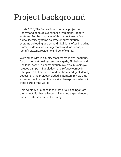## Project background

In late 2018, The Engine Room began a project to understand people's experiences with digital identity systems. For the purposes of this project, we defined digital identity systems as state or humanitarian systems collecting and using digital data, often including biometric data such as fingerprints and iris scans, to identify citizens, residents and beneficiaries.

We worked with in-country researchers in five locations, focusing on national systems in Nigeria, Zimbabwe and Thailand, as well as humanitarian systems in Rohingya refugee camps in Bangladesh and refugee camps in Ethiopia. To better understand the broader digital identity ecosystem, the project included a literature review that extended well beyond the five sites to explore systems in other parts of the world.

This typology of stages is the first of our findings from the project. Further reflections, including a global report and case studies, are forthcoming.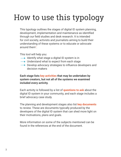## How to use this typology

This typology outlines the stages of digital ID system planning, development, implementation and maintenance as identified through our field studies and desk research. It is intended for civil society, activists and journalists aiming to build their understanding of these systems or to educate or advocate around them<sup>1</sup>.

This tool will help you:

- $\rightarrow$  Identify what stage a digital ID system is in
- $\longrightarrow$  Understand what to expect from each stage
- **→** Develop advocacy strategies to influence developers and decision makers

#### **Each stage lists key activities that may be undertaken by system creators, but not all of the systems we examined included every activity.**

Each activity is followed by a list of **questions to ask** about the digital ID system in your community, and each stage includes a brief advocacy case study.

The planning and development stages also list **key documents** to review. These are documents typically produced by the developers of the digital ID system that can shed more light on their motivations, plans and goals.

More information on some of the subjects mentioned can be found in the references at the end of the document.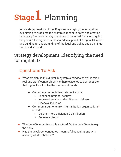# **Stage1** Planning

In this stage, creators of the ID system are laying the foundation by pointing to problems the system is meant to solve and creating necessary frameworks. Key questions to be asked focus on digging deeper into the arguments presented in support of a digital ID system and building an understanding of the legal and policy underpinnings that could support it.

#### Strategy development: Identifying the need for digital ID

- What problem is this digital ID system aiming to solve? Is this a real and significant problem? Is there evidence to demonstrate that digital ID will solve the problem at hand?
	- Common arguments from states include:
		- › Enhanced national security
		- › Improved service and entitlement delivery
		- › Financial inclusion
	- **Common arguments from humanitarian organisations<sup>2</sup>** include:
		- › Quicker, more efficient aid distribution
		- › Decreased fraud
- Who benefits most from this system? Do the benefits outweigh the risks?
- Has the developer conducted meaningful consultations with a variety of stakeholders?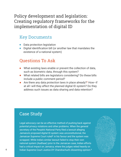#### Policy development and legislation: Creating regulatory frameworks for the implementation of digital ID

#### Key Documents

- Data protection legislation
- Digital identification bill (or another law that mandates the existence of a national system)

#### Questions To Ask

- What existing laws enable or prevent the collection of data, such as biometric data, through this system?
- What related bills are legislators considering? Do these bills include a public comment period?
- Are there any data protection laws in place already?<sup>3</sup> How-if at all–will they affect the planned digital ID system? Do they address such issues as data sharing and data retention?

#### Case Study

Legal advocacy can be an effective method of pushing back against potential privacy violations and other problems. When the general secretary of the People's National Party filed a lawsuit alleging Jamaica's proposed digital ID system was unconstitutional, the Jamaican Supreme Court ruled**<sup>4</sup>**in his favour and the system was scrapped. While India's similar lawsuit failed to stop their own national system (Aadhaar) prior to the Jamaican case, Indian efforts had a critical impact on Jamaica, where the judges relied heavily on Indian Supreme Court Justice DY Chandrachud's dissenting opinion.**5**

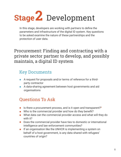# **Stage2** Development

In this stage, developers are working with partners to define the parameters and infrastructure of the digital ID system. Key questions to be asked examine the nature of these partnerships and the protection of user data.

#### Procurement: Finding and contracting with a private sector partner to develop, and possibly maintain, a digital ID system

#### Key Documents

- A request for proposals and/or terms of reference for a thirdparty contractor
- A data-sharing agreement between host governments and aid organisations

- Is there a procurement process, and is it open and transparent? ■
- Who is the commercial provider and how do they benefit?
- What data can the commercial provider access and what will they do with it?
- Does the commercial provider have ties to domestic or international intelligence and law enforcement communities?
- **.** If an organisation like the UNHCR is implementing a system on behalf of a host government, is any data shared with refugees' countries of origin?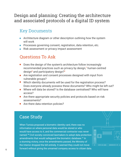#### Design and planning: Creating the architecture and associated protocols of a digital ID system

#### Key Documents

- Architecture diagram or other description outlining how the system will work
- Processes governing consent, registration, data retention, etc.
- Risk assessment or privacy impact assessment

#### Questions To Ask

- Does the design of the system's architecture follow increasingly recommended practices such as privacy by design,<sup>7</sup> human-centred design<sup>8</sup> and participatory design?<sup>9</sup>
- Are registration and consent processes designed with input from vulnerable groups?
- Which identity documents will be used for the registration process? Does everyone already possess these documents? Who might be left out?
- Where will data be stored? Is the database centralised? Who will have access?
- Are there appropriate security policies and protocols based on risk assessments?
- Are there data retention policies?

#### Case Study

When Tunisia proposed a biometric identity card, there was no information on where personal data would be stored or who would have access to it, and the commercial contractor was never named.**<sup>10</sup>** Civil society convinced lawmakers to adopt data protection amendments that would safeguard the biometric database.**<sup>11</sup>** In a stunning victory, once the amendments passed, the Ministry of the Interior dropped the bill entirely. It seemed they could not move forward without giving the unnamed company access to citizen data.

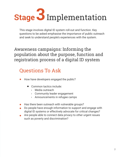

This stage involves digital ID system roll-out and function. Key questions to be asked emphasise the importance of public outreach and seek to understand people's experiences with the system.

#### Awareness campaigns: Informing the population about the purpose, function and registration process of a digital ID system

- How have developers engaged the public?
	- Common tactics include:
		- › Media outreach
		- › Community leader engagement
		- › Announcements in refugee camps
- Has there been outreach with vulnerable groups?
- Do people have enough information to support and engage with digital ID systems or effectively advocate for critical changes?
- Are people able to connect data privacy to other urgent issues such as poverty and discrimination?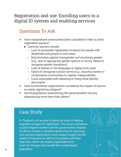#### Registration and use: Enrolling users in a digital ID system and enabling services

#### Questions To Ask

- Have marginalised communities been consulted in order to avoid registration barriers?
	- › Common barriers include:
		- › Lack of accessible registration locations for people with disabilities and people in rural areas
		- › Discrimination against transgender and non-binary people (e.g., lack of appropriate gender options on forms, failure to recognise gender transitions)
		- › Lack of literacy in the languages or digital tools used
		- › Failure to recognise cultural norms (e.g., requiring women in conservative communities to register independently)
		- $\rightarrow$  Costs associated with obtaining or fixing initial identity documents
- Have humanitarian organisations considered the impact of trauma on newly registering refugees?
- Are all populations experiencing the same benefits? Are any experiencing more harm than others?

#### Case Study

In Thailand, civil society is doing the work of helping migrants navigate ID registration. This close connection to both migrant workers and the government's migrant ID offices creates a valuable opportunity for advocacy. Civil society organisations have unique insight into the needs of migrants as well as the barriers and risks they face, which can enable organisations to push for changes that benefit this marginalised population.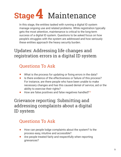# **Stage** Maintenance **4**

In this stage, the entities tasked with running a digital ID system manage ongoing use and related problems. While registration typically gets the most attention, maintenance is critical to the long-term success of a digital ID system. Questions to be asked focus on how people's struggles with the system are addressed and how seriously these entities approach the heavy security burden.

#### Updates: Addressing life changes and registration errors in a digital ID system

#### Questions To Ask

- What is the process for updating or fixing errors in the data?
- Is there evidence of the effectiveness or failure of this process? For instance, are there people who have been unable to make necessary changes and has this caused denial of service, aid or the ability to exercise their rights?
- How are false positives and false negatives handled?<sup>12</sup>  $\bullet$

#### Grievance reporting: Submitting and addressing complaints about a digital ID system

- How can people lodge complaints about the system? Is the  $\bullet$ process easy, intuitive and accessible?
- Are people treated fairly and respectfully when reporting grievances?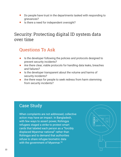- Do people have trust in the departments tasked with responding to grievances?
- Is there a need for independent oversight?

#### Security: Protecting digital ID system data over time

#### Questions To Ask

- Is the developer following the policies and protocols designed to prevent security incidents?
- Are there clear, viable protocols for handling data leaks, breaches and failures?
- Is the developer transparent about the volume and harms of security incidents?
- Are there ways for people to seek redress from harm stemming from security incidents?

#### Case Study

When complaints are not addressed, collective action may have an impact. In Bangladesh, with few ways to assert power, Rohingya refugees staged a strike to protest smart cards that labeled each person as a "forcibly displaced Myanmar national" rather than Rohingya and to demand that authorities refuse to share refugee biometric data with the government of Myanmar.**13**

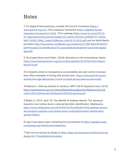### **Notes**

**1** For digital ID best practices, consider the Good ID movement (https:// www.good-id.org/en/), CIS's evaluation framework (https://digitalid.design/ evaluation-framework-01.html), ITU's roadmap (https://www.itu.int/en/ITU-D/ ICT-Applications/Documents/Guides/ITU\_eID4D\_DIGITAL%20IDENTITY\_ROAD\_ MAP\_GUIDE\_FINAL\_Under%20Review\_Until-05-10-2018.pdf) and the World Bank's principles (http://documents.worldbank.org/curated/en/213581486378184357/ pdf/Principles-on-identification-for-sustainable-development-toward-the-digitalage.pdf).

**2** The Engine Room and Oxfam. (2018). Biometrics in the Humanitarian Sector. https://www.theengineroom.org/wp-content/uploads/2018/05/Oxfam-Report-May2018.pdf

**3** KJ Dearie's article on transparency, accountability and user control in privacy laws offers examples of strong data privacy laws. https://www.good-id.org/en/ articles/new-age-data-privacy-3-core-concepts-privacy-laws-around-world/

**4** Robinson v. Attorney General of Jamaica, JMFC Full 04 (Supreme Court, 2019). https://supremecourt.gov.jm/sites/default/files/judgments/Robinson%2C%20 Julian%20v%20Attorney%20General%20of%20Jamaica.pdf

**5** Bhatia, G. (2019, April 15). The afterlife of Aadhaar dissent: The Jamaican Supreme Court strikes down a national biometric identification. Medianama. https://www.medianama.com/2019/04/223-the-afterlife-of-the-aadhaar-dissentthe-jamaican-supreme-court-strikes-down-a-national-biometric-identificationgautam-bhatia/

**6** Learn more about open contracting for procurement at https://standard.opencontracting.org/infrastructure/latest/en/

**7** See more on privacy by design at https://iapp.org/resources/article/privacy-bydesign-the-7-foundational-principles/